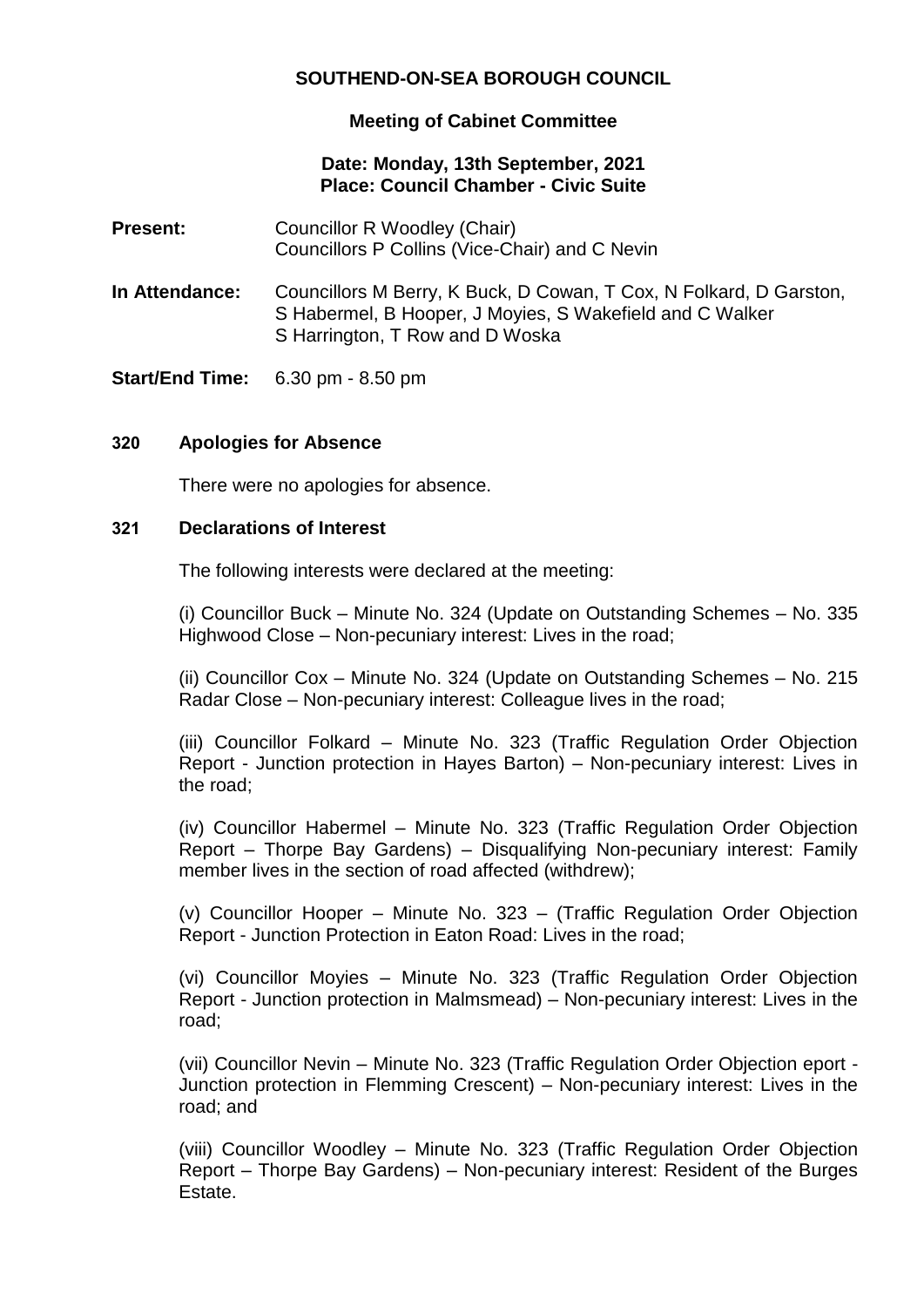# **SOUTHEND-ON-SEA BOROUGH COUNCIL**

## **Meeting of Cabinet Committee**

#### **Date: Monday, 13th September, 2021 Place: Council Chamber - Civic Suite**

- **Present:** Councillor R Woodley (Chair) Councillors P Collins (Vice-Chair) and C Nevin
- **In Attendance:** Councillors M Berry, K Buck, D Cowan, T Cox, N Folkard, D Garston, S Habermel, B Hooper, J Moyies, S Wakefield and C Walker S Harrington, T Row and D Woska

**Start/End Time:** 6.30 pm - 8.50 pm

### **320 Apologies for Absence**

There were no apologies for absence.

#### **321 Declarations of Interest**

The following interests were declared at the meeting:

(i) Councillor Buck – Minute No. 324 (Update on Outstanding Schemes – No. 335 Highwood Close – Non-pecuniary interest: Lives in the road;

(ii) Councillor Cox – Minute No. 324 (Update on Outstanding Schemes – No. 215 Radar Close – Non-pecuniary interest: Colleague lives in the road;

(iii) Councillor Folkard – Minute No. 323 (Traffic Regulation Order Objection Report - Junction protection in Hayes Barton) – Non-pecuniary interest: Lives in the road;

(iv) Councillor Habermel – Minute No. 323 (Traffic Regulation Order Objection Report – Thorpe Bay Gardens) – Disqualifying Non-pecuniary interest: Family member lives in the section of road affected (withdrew);

(v) Councillor Hooper – Minute No. 323 – (Traffic Regulation Order Objection Report - Junction Protection in Eaton Road: Lives in the road;

(vi) Councillor Moyies – Minute No. 323 (Traffic Regulation Order Objection Report - Junction protection in Malmsmead) – Non-pecuniary interest: Lives in the road;

(vii) Councillor Nevin – Minute No. 323 (Traffic Regulation Order Objection eport - Junction protection in Flemming Crescent) – Non-pecuniary interest: Lives in the road; and

(viii) Councillor Woodley – Minute No. 323 (Traffic Regulation Order Objection Report – Thorpe Bay Gardens) – Non-pecuniary interest: Resident of the Burges Estate.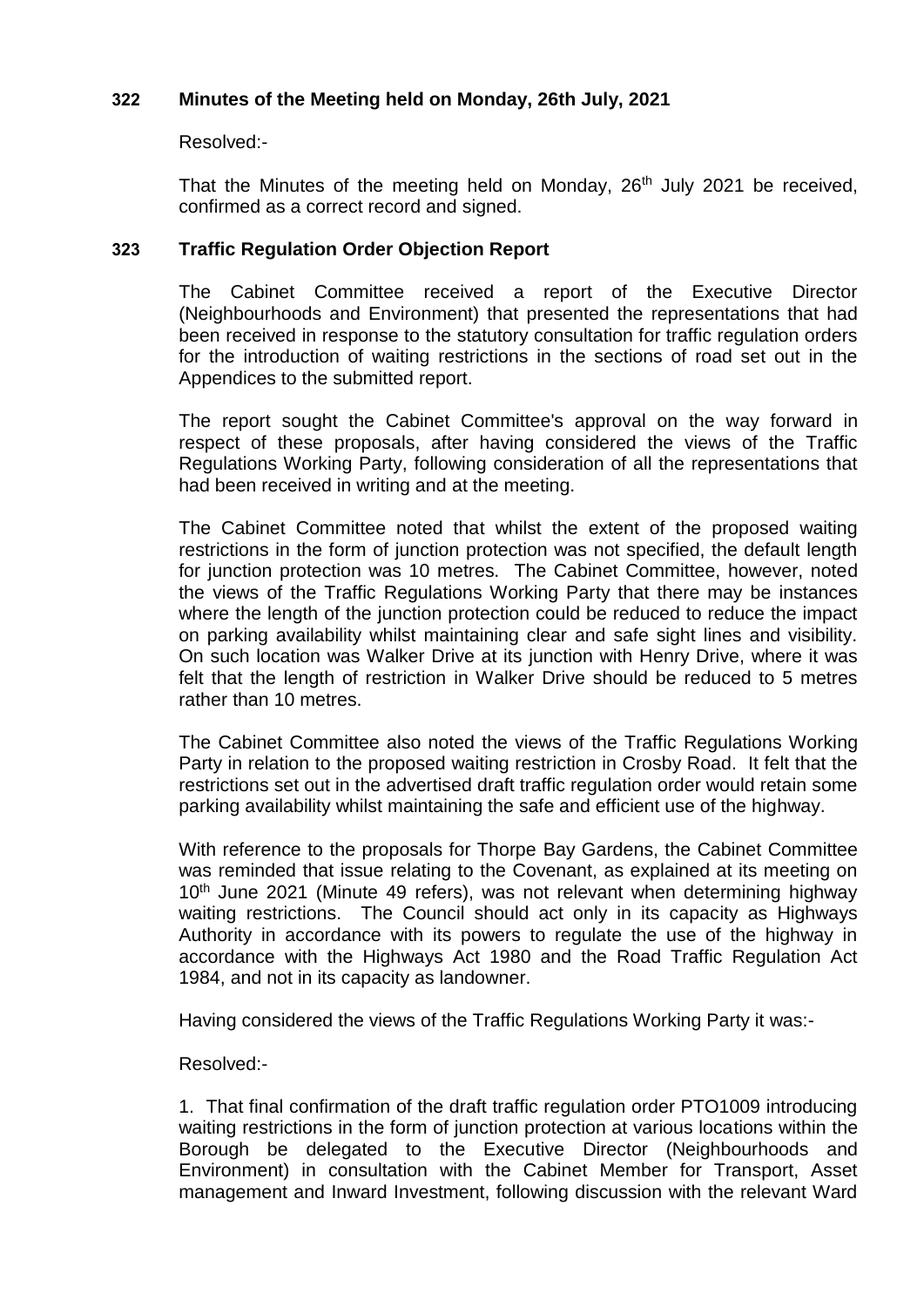## **322 Minutes of the Meeting held on Monday, 26th July, 2021**

#### Resolved:-

That the Minutes of the meeting held on Monday, 26<sup>th</sup> July 2021 be received, confirmed as a correct record and signed.

## **323 Traffic Regulation Order Objection Report**

The Cabinet Committee received a report of the Executive Director (Neighbourhoods and Environment) that presented the representations that had been received in response to the statutory consultation for traffic regulation orders for the introduction of waiting restrictions in the sections of road set out in the Appendices to the submitted report.

The report sought the Cabinet Committee's approval on the way forward in respect of these proposals, after having considered the views of the Traffic Regulations Working Party, following consideration of all the representations that had been received in writing and at the meeting.

The Cabinet Committee noted that whilst the extent of the proposed waiting restrictions in the form of junction protection was not specified, the default length for junction protection was 10 metres. The Cabinet Committee, however, noted the views of the Traffic Regulations Working Party that there may be instances where the length of the junction protection could be reduced to reduce the impact on parking availability whilst maintaining clear and safe sight lines and visibility. On such location was Walker Drive at its junction with Henry Drive, where it was felt that the length of restriction in Walker Drive should be reduced to 5 metres rather than 10 metres.

The Cabinet Committee also noted the views of the Traffic Regulations Working Party in relation to the proposed waiting restriction in Crosby Road. It felt that the restrictions set out in the advertised draft traffic regulation order would retain some parking availability whilst maintaining the safe and efficient use of the highway.

With reference to the proposals for Thorpe Bay Gardens, the Cabinet Committee was reminded that issue relating to the Covenant, as explained at its meeting on 10<sup>th</sup> June 2021 (Minute 49 refers), was not relevant when determining highway waiting restrictions. The Council should act only in its capacity as Highways Authority in accordance with its powers to regulate the use of the highway in accordance with the Highways Act 1980 and the Road Traffic Regulation Act 1984, and not in its capacity as landowner.

Having considered the views of the Traffic Regulations Working Party it was:-

### Resolved:-

1. That final confirmation of the draft traffic regulation order PTO1009 introducing waiting restrictions in the form of junction protection at various locations within the Borough be delegated to the Executive Director (Neighbourhoods and Environment) in consultation with the Cabinet Member for Transport, Asset management and Inward Investment, following discussion with the relevant Ward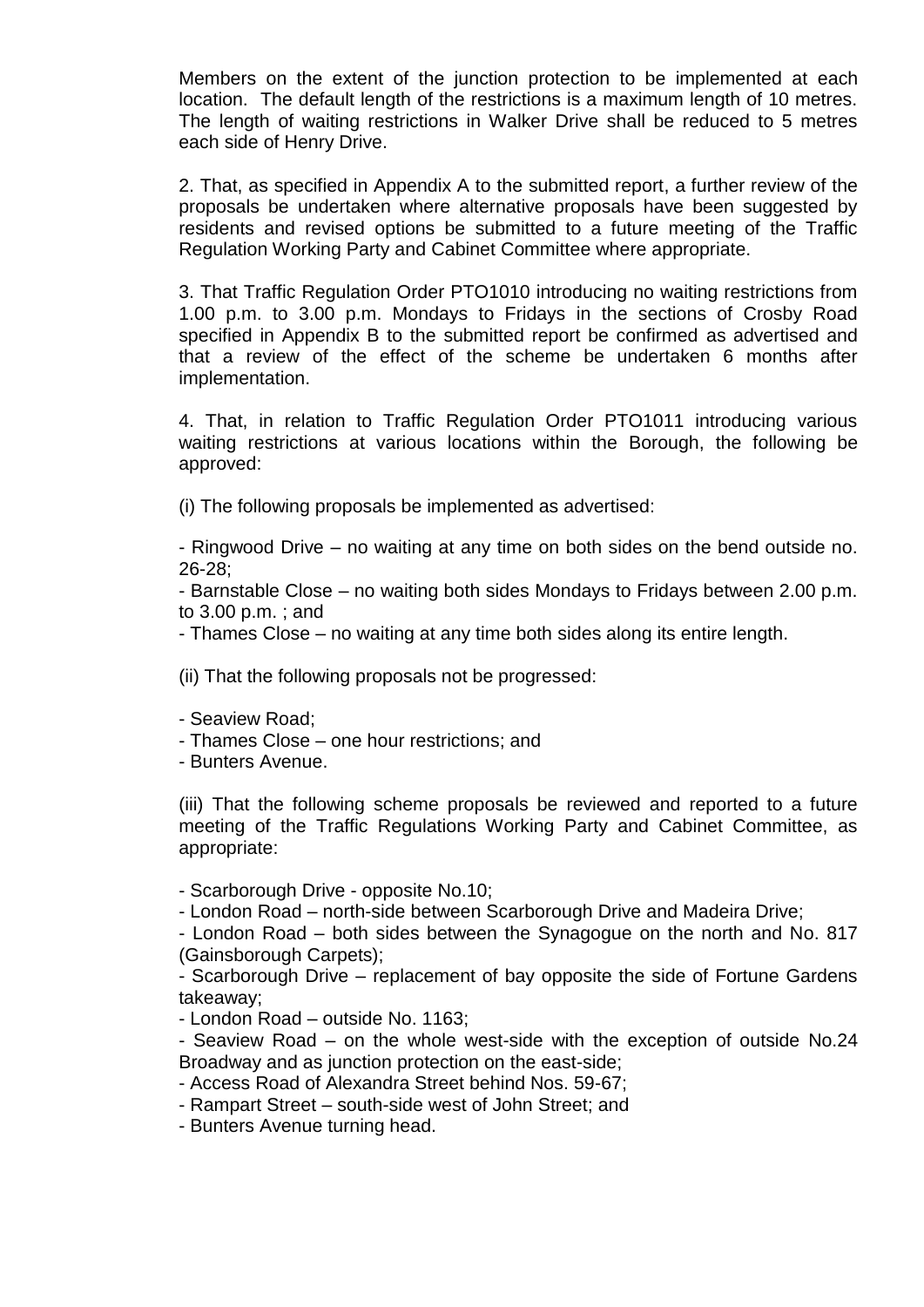Members on the extent of the junction protection to be implemented at each location. The default length of the restrictions is a maximum length of 10 metres. The length of waiting restrictions in Walker Drive shall be reduced to 5 metres each side of Henry Drive.

2. That, as specified in Appendix A to the submitted report, a further review of the proposals be undertaken where alternative proposals have been suggested by residents and revised options be submitted to a future meeting of the Traffic Regulation Working Party and Cabinet Committee where appropriate.

3. That Traffic Regulation Order PTO1010 introducing no waiting restrictions from 1.00 p.m. to 3.00 p.m. Mondays to Fridays in the sections of Crosby Road specified in Appendix B to the submitted report be confirmed as advertised and that a review of the effect of the scheme be undertaken 6 months after implementation.

4. That, in relation to Traffic Regulation Order PTO1011 introducing various waiting restrictions at various locations within the Borough, the following be approved:

(i) The following proposals be implemented as advertised:

- Ringwood Drive – no waiting at any time on both sides on the bend outside no. 26-28;

- Barnstable Close – no waiting both sides Mondays to Fridays between 2.00 p.m. to 3.00 p.m. ; and

- Thames Close – no waiting at any time both sides along its entire length.

(ii) That the following proposals not be progressed:

- Seaview Road;
- Thames Close one hour restrictions; and

- Bunters Avenue.

(iii) That the following scheme proposals be reviewed and reported to a future meeting of the Traffic Regulations Working Party and Cabinet Committee, as appropriate:

- Scarborough Drive - opposite No.10;

- London Road – north-side between Scarborough Drive and Madeira Drive;

- London Road – both sides between the Synagogue on the north and No. 817 (Gainsborough Carpets);

- Scarborough Drive – replacement of bay opposite the side of Fortune Gardens takeaway;

- London Road – outside No. 1163;

- Seaview Road – on the whole west-side with the exception of outside No.24 Broadway and as junction protection on the east-side;

- Access Road of Alexandra Street behind Nos. 59-67;

- Rampart Street – south-side west of John Street; and

- Bunters Avenue turning head.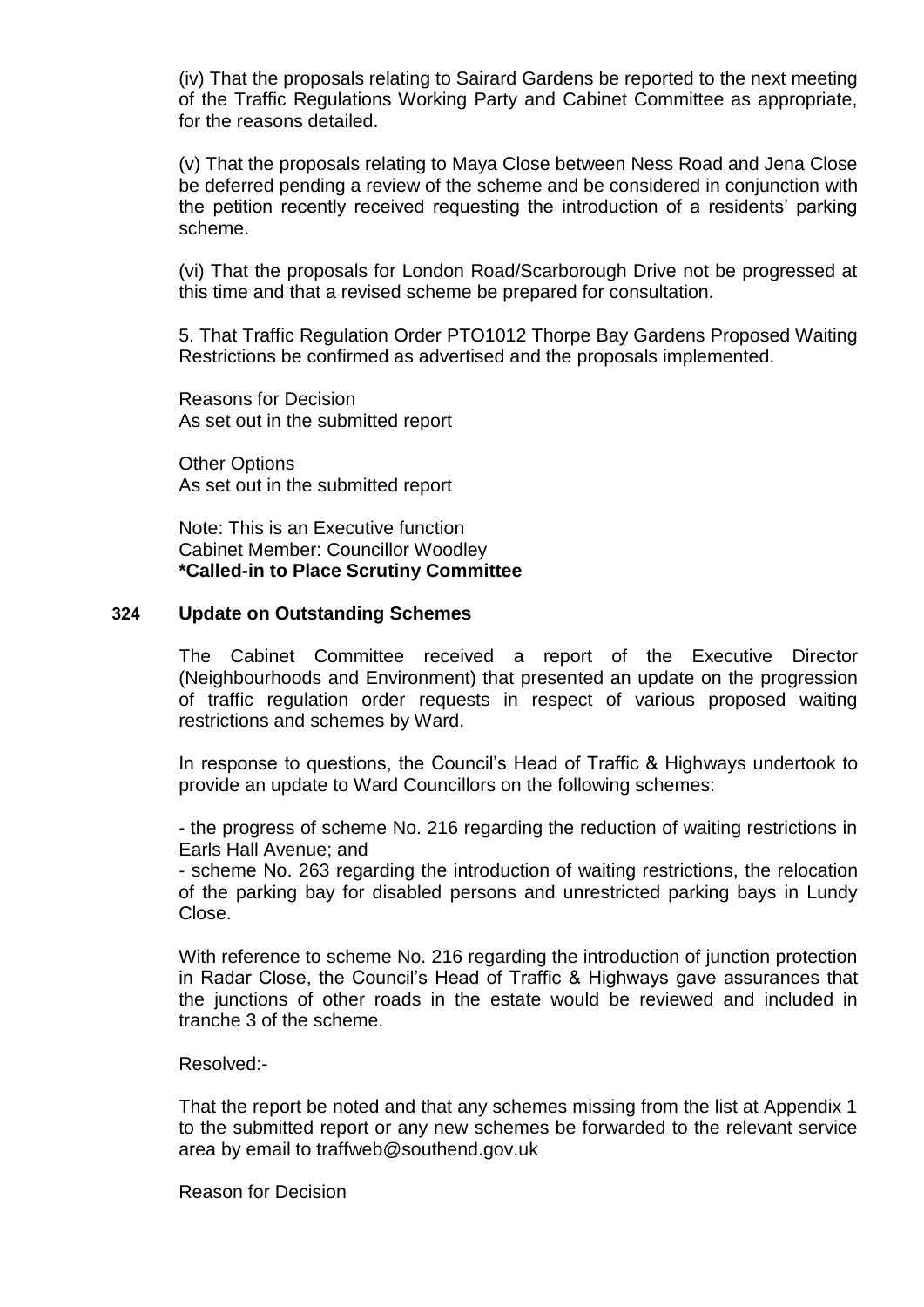(iv) That the proposals relating to Sairard Gardens be reported to the next meeting of the Traffic Regulations Working Party and Cabinet Committee as appropriate, for the reasons detailed.

(v) That the proposals relating to Maya Close between Ness Road and Jena Close be deferred pending a review of the scheme and be considered in conjunction with the petition recently received requesting the introduction of a residents' parking scheme.

(vi) That the proposals for London Road/Scarborough Drive not be progressed at this time and that a revised scheme be prepared for consultation.

5. That Traffic Regulation Order PTO1012 Thorpe Bay Gardens Proposed Waiting Restrictions be confirmed as advertised and the proposals implemented.

Reasons for Decision As set out in the submitted report

Other Options As set out in the submitted report

Note: This is an Executive function Cabinet Member: Councillor Woodley **\*Called-in to Place Scrutiny Committee**

#### **324 Update on Outstanding Schemes**

The Cabinet Committee received a report of the Executive Director (Neighbourhoods and Environment) that presented an update on the progression of traffic regulation order requests in respect of various proposed waiting restrictions and schemes by Ward.

In response to questions, the Council's Head of Traffic & Highways undertook to provide an update to Ward Councillors on the following schemes:

- the progress of scheme No. 216 regarding the reduction of waiting restrictions in Earls Hall Avenue; and

- scheme No. 263 regarding the introduction of waiting restrictions, the relocation of the parking bay for disabled persons and unrestricted parking bays in Lundy Close.

With reference to scheme No. 216 regarding the introduction of junction protection in Radar Close, the Council's Head of Traffic & Highways gave assurances that the junctions of other roads in the estate would be reviewed and included in tranche 3 of the scheme.

Resolved:-

That the report be noted and that any schemes missing from the list at Appendix 1 to the submitted report or any new schemes be forwarded to the relevant service area by email to traffweb@southend.gov.uk

Reason for Decision